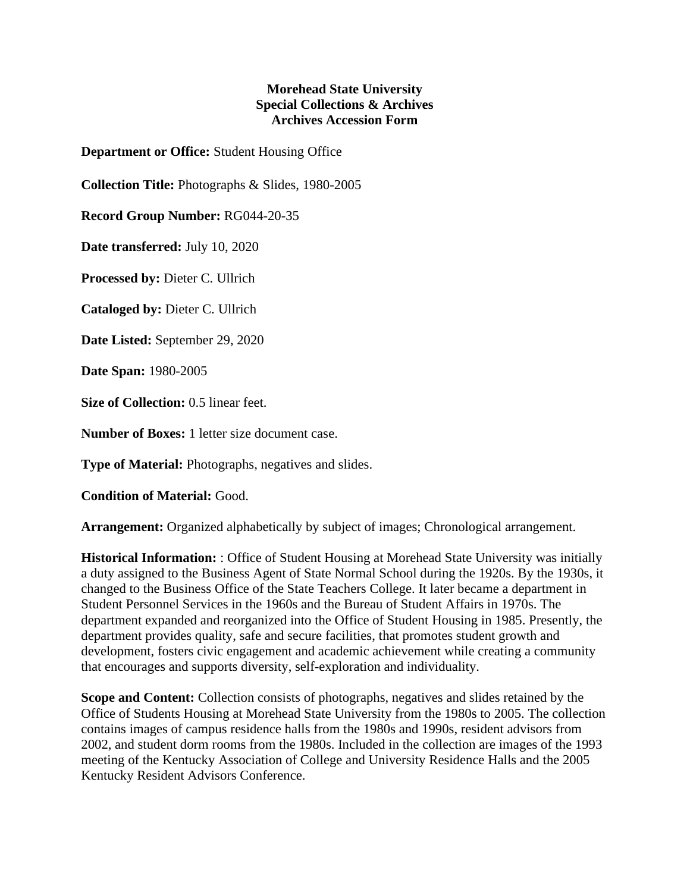## **Morehead State University Special Collections & Archives Archives Accession Form**

**Department or Office:** Student Housing Office

**Collection Title:** Photographs & Slides, 1980-2005

**Record Group Number:** RG044-20-35

**Date transferred:** July 10, 2020

**Processed by:** Dieter C. Ullrich

**Cataloged by:** Dieter C. Ullrich

**Date Listed:** September 29, 2020

**Date Span:** 1980-2005

**Size of Collection:** 0.5 linear feet.

**Number of Boxes:** 1 letter size document case.

**Type of Material:** Photographs, negatives and slides.

**Condition of Material:** Good.

**Arrangement:** Organized alphabetically by subject of images; Chronological arrangement.

**Historical Information:** : Office of Student Housing at Morehead State University was initially a duty assigned to the Business Agent of State Normal School during the 1920s. By the 1930s, it changed to the Business Office of the State Teachers College. It later became a department in Student Personnel Services in the 1960s and the Bureau of Student Affairs in 1970s. The department expanded and reorganized into the Office of Student Housing in 1985. Presently, the department provides quality, safe and secure facilities, that promotes student growth and development, fosters civic engagement and academic achievement while creating a community that encourages and supports diversity, self-exploration and individuality.

**Scope and Content:** Collection consists of photographs, negatives and slides retained by the Office of Students Housing at Morehead State University from the 1980s to 2005. The collection contains images of campus residence halls from the 1980s and 1990s, resident advisors from 2002, and student dorm rooms from the 1980s. Included in the collection are images of the 1993 meeting of the Kentucky Association of College and University Residence Halls and the 2005 Kentucky Resident Advisors Conference.